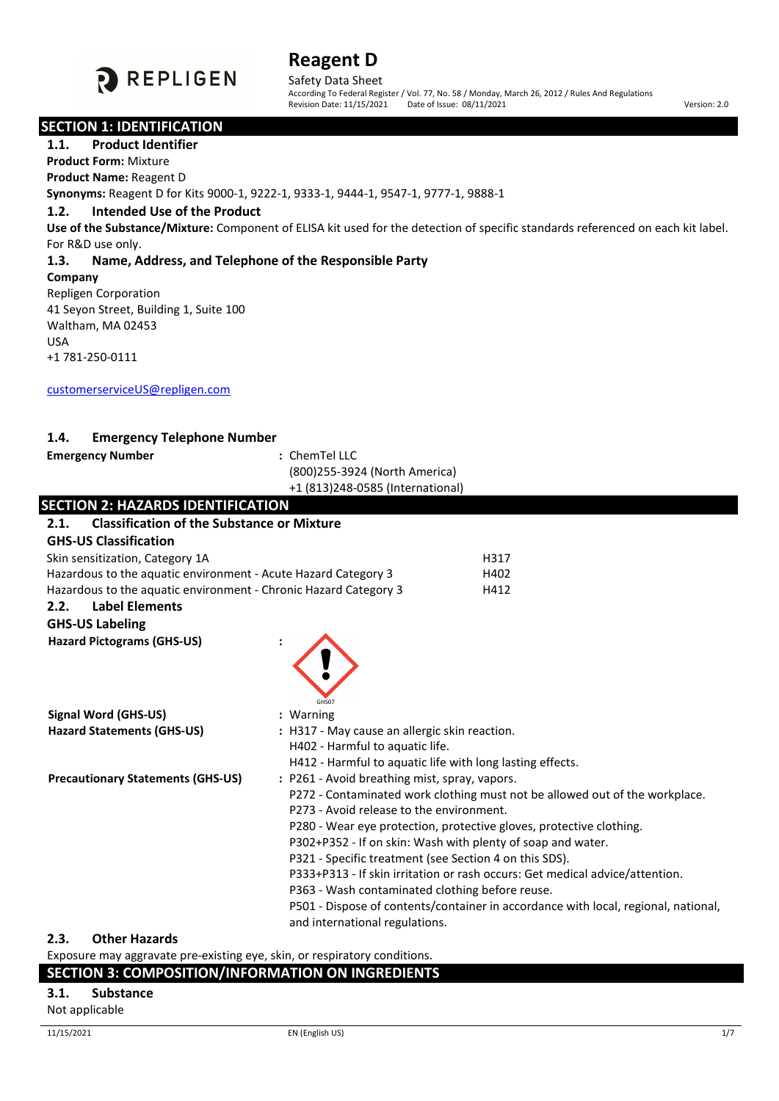

Safety Data Sheet<br>According To Federal Register / Vol. 77, No. 58 / Monday, March 26, 2012 / Rules And Regulations Revision Date: 11/15/2021 Date of Issue: 08/11/2021 **Version: 2.0** Version: 2.0

#### **SECTION 1: IDENTIFICATION**

#### **1.1. Product Identifier**

**Product Form:** Mixture

#### **Product Name:** Reagent D

**Synonyms:** Reagent D for Kits 9000-1, 9222-1, 9333-1, 9444-1, 9547-1, 9777-1, 9888-1

## **1.2. Intended Use of the Product**

**Use of the Substance/Mixture:** Component of ELISA kit used for the detection of specific standards referenced on each kit label. For R&D use only.

## **1.3. Name, Address, and Telephone of the Responsible Party**

#### **Company**

Repligen Corporation 41 Seyon Street, Building 1, Suite 100 Waltham, MA 02453 USA +1 781-250-0111

[customerserviceUS@repligen.com](mailto:customerserviceUS@repligen.com)

## **1.4. Emergency Telephone Number**

#### **Emergency Number :** ChemTel LLC

(800)255-3924 (North America) +1 (813)248-0585 (International)

| <b>SECTION 2: HAZARDS IDENTIFICATION</b>                         |                                                                                                                                    |
|------------------------------------------------------------------|------------------------------------------------------------------------------------------------------------------------------------|
| <b>Classification of the Substance or Mixture</b><br>2.1.        |                                                                                                                                    |
| <b>GHS-US Classification</b>                                     |                                                                                                                                    |
| Skin sensitization, Category 1A                                  | H317                                                                                                                               |
| Hazardous to the aquatic environment - Acute Hazard Category 3   | H402                                                                                                                               |
| Hazardous to the aquatic environment - Chronic Hazard Category 3 | H412                                                                                                                               |
| <b>Label Elements</b><br>2.2.                                    |                                                                                                                                    |
| <b>GHS-US Labeling</b>                                           |                                                                                                                                    |
| <b>Hazard Pictograms (GHS-US)</b>                                |                                                                                                                                    |
|                                                                  |                                                                                                                                    |
|                                                                  |                                                                                                                                    |
|                                                                  |                                                                                                                                    |
|                                                                  | GHS07                                                                                                                              |
| <b>Signal Word (GHS-US)</b>                                      | : Warning                                                                                                                          |
| <b>Hazard Statements (GHS-US)</b>                                | : H317 - May cause an allergic skin reaction.                                                                                      |
|                                                                  | H402 - Harmful to aquatic life.                                                                                                    |
|                                                                  | H412 - Harmful to aquatic life with long lasting effects.                                                                          |
| <b>Precautionary Statements (GHS-US)</b>                         | : P261 - Avoid breathing mist, spray, vapors.                                                                                      |
|                                                                  | P272 - Contaminated work clothing must not be allowed out of the workplace.<br>P273 - Avoid release to the environment.            |
|                                                                  |                                                                                                                                    |
|                                                                  | P280 - Wear eye protection, protective gloves, protective clothing.<br>P302+P352 - If on skin: Wash with plenty of soap and water. |
|                                                                  | P321 - Specific treatment (see Section 4 on this SDS).                                                                             |
|                                                                  | P333+P313 - If skin irritation or rash occurs: Get medical advice/attention.                                                       |
|                                                                  | P363 - Wash contaminated clothing before reuse.                                                                                    |
|                                                                  | P501 - Dispose of contents/container in accordance with local, regional, national,                                                 |
|                                                                  | and international regulations.                                                                                                     |
| າ ຂ<br>Othar Hazards                                             |                                                                                                                                    |

#### **2.3. Other Hazards**

Exposure may aggravate pre-existing eye, skin, or respiratory conditions.

## **SECTION 3: COMPOSITION/INFORMATION ON INGREDIENTS**

#### **3.1. Substance**

Not applicable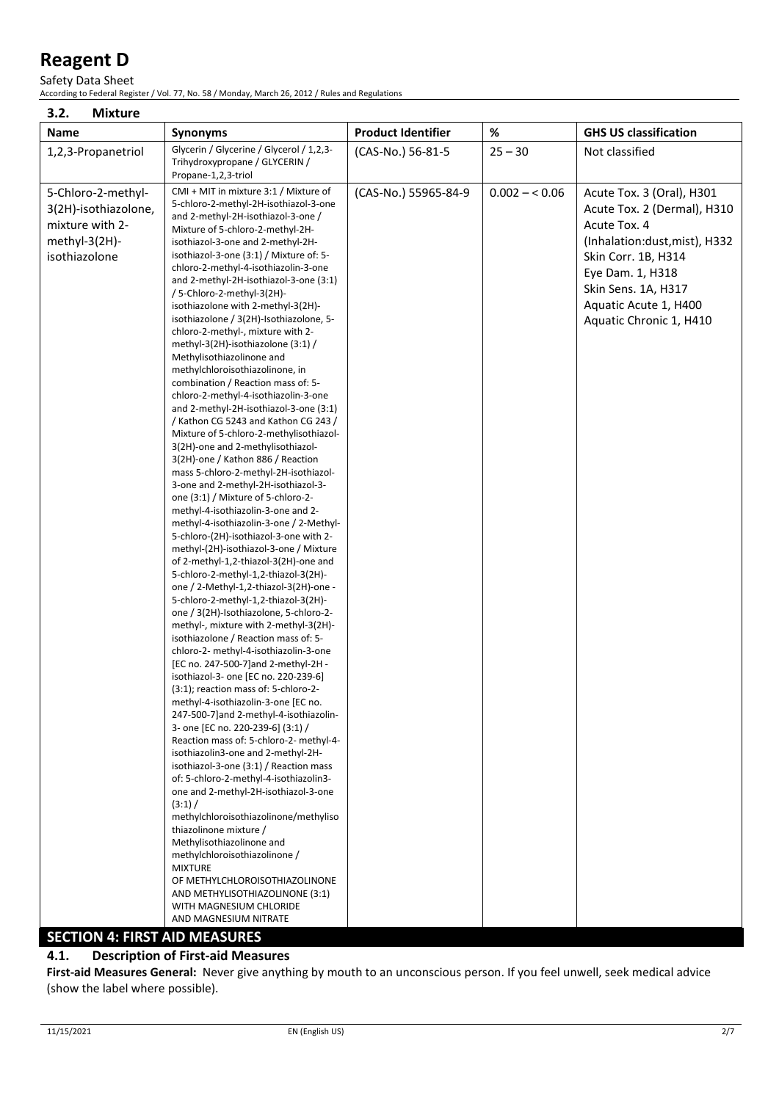Safety Data Sheet

According to Federal Register / Vol. 77, No. 58 / Monday, March 26, 2012 / Rules and Regulations

| 3.2.<br><b>Mixture</b>                                                                                                                  |                                                                                                                                                                                                                                                                                                                                                                                                                                                                                                                                                                                                                                                                                                                                                                                                                                                                                                                                                                                                                                                                                                                                                                                                                                                                                                                                                                                                                                                                                                                                                                                                                                                                                                                                                                                                                                                                                                                                                                                                                                                                                                                                                                                                                                                                       |                           |                |                                                                                                                                                                                                                                 |
|-----------------------------------------------------------------------------------------------------------------------------------------|-----------------------------------------------------------------------------------------------------------------------------------------------------------------------------------------------------------------------------------------------------------------------------------------------------------------------------------------------------------------------------------------------------------------------------------------------------------------------------------------------------------------------------------------------------------------------------------------------------------------------------------------------------------------------------------------------------------------------------------------------------------------------------------------------------------------------------------------------------------------------------------------------------------------------------------------------------------------------------------------------------------------------------------------------------------------------------------------------------------------------------------------------------------------------------------------------------------------------------------------------------------------------------------------------------------------------------------------------------------------------------------------------------------------------------------------------------------------------------------------------------------------------------------------------------------------------------------------------------------------------------------------------------------------------------------------------------------------------------------------------------------------------------------------------------------------------------------------------------------------------------------------------------------------------------------------------------------------------------------------------------------------------------------------------------------------------------------------------------------------------------------------------------------------------------------------------------------------------------------------------------------------------|---------------------------|----------------|---------------------------------------------------------------------------------------------------------------------------------------------------------------------------------------------------------------------------------|
| Name                                                                                                                                    | <b>Synonyms</b>                                                                                                                                                                                                                                                                                                                                                                                                                                                                                                                                                                                                                                                                                                                                                                                                                                                                                                                                                                                                                                                                                                                                                                                                                                                                                                                                                                                                                                                                                                                                                                                                                                                                                                                                                                                                                                                                                                                                                                                                                                                                                                                                                                                                                                                       | <b>Product Identifier</b> | $\%$           | <b>GHS US classification</b>                                                                                                                                                                                                    |
| 1,2,3-Propanetriol                                                                                                                      | Glycerin / Glycerine / Glycerol / 1,2,3-<br>Trihydroxypropane / GLYCERIN /<br>Propane-1,2,3-triol                                                                                                                                                                                                                                                                                                                                                                                                                                                                                                                                                                                                                                                                                                                                                                                                                                                                                                                                                                                                                                                                                                                                                                                                                                                                                                                                                                                                                                                                                                                                                                                                                                                                                                                                                                                                                                                                                                                                                                                                                                                                                                                                                                     | (CAS-No.) 56-81-5         | $25 - 30$      | Not classified                                                                                                                                                                                                                  |
| 5-Chloro-2-methyl-<br>3(2H)-isothiazolone,<br>mixture with 2-<br>methyl-3(2H)-<br>isothiazolone<br><b>SECTION 4: FIRST AID MEASURES</b> | CMI + MIT in mixture 3:1 / Mixture of<br>5-chloro-2-methyl-2H-isothiazol-3-one<br>and 2-methyl-2H-isothiazol-3-one /<br>Mixture of 5-chloro-2-methyl-2H-<br>isothiazol-3-one and 2-methyl-2H-<br>isothiazol-3-one (3:1) / Mixture of: 5-<br>chloro-2-methyl-4-isothiazolin-3-one<br>and 2-methyl-2H-isothiazol-3-one (3:1)<br>/ 5-Chloro-2-methyl-3(2H)-<br>isothiazolone with 2-methyl-3(2H)-<br>isothiazolone / 3(2H)-Isothiazolone, 5-<br>chloro-2-methyl-, mixture with 2-<br>methyl-3(2H)-isothiazolone $(3:1)$ /<br>Methylisothiazolinone and<br>methylchloroisothiazolinone, in<br>combination / Reaction mass of: 5-<br>chloro-2-methyl-4-isothiazolin-3-one<br>and 2-methyl-2H-isothiazol-3-one (3:1)<br>/ Kathon CG 5243 and Kathon CG 243 /<br>Mixture of 5-chloro-2-methylisothiazol-<br>3(2H)-one and 2-methylisothiazol-<br>3(2H)-one / Kathon 886 / Reaction<br>mass 5-chloro-2-methyl-2H-isothiazol-<br>3-one and 2-methyl-2H-isothiazol-3-<br>one $(3:1)$ / Mixture of 5-chloro-2-<br>methyl-4-isothiazolin-3-one and 2-<br>methyl-4-isothiazolin-3-one / 2-Methyl-<br>5-chloro-(2H)-isothiazol-3-one with 2-<br>methyl-(2H)-isothiazol-3-one / Mixture<br>of 2-methyl-1,2-thiazol-3(2H)-one and<br>5-chloro-2-methyl-1,2-thiazol-3(2H)-<br>one / 2-Methyl-1,2-thiazol-3(2H)-one -<br>5-chloro-2-methyl-1,2-thiazol-3(2H)-<br>one / 3(2H)-Isothiazolone, 5-chloro-2-<br>methyl-, mixture with 2-methyl-3(2H)-<br>isothiazolone / Reaction mass of: 5-<br>chloro-2- methyl-4-isothiazolin-3-one<br>[EC no. 247-500-7] and 2-methyl-2H -<br>isothiazol-3- one [EC no. 220-239-6]<br>$(3:1)$ ; reaction mass of: 5-chloro-2-<br>methyl-4-isothiazolin-3-one [EC no.<br>247-500-7] and 2-methyl-4-isothiazolin-<br>3- one [EC no. 220-239-6] (3:1) /<br>Reaction mass of: 5-chloro-2- methyl-4-<br>isothiazolin3-one and 2-methyl-2H-<br>isothiazol-3-one (3:1) / Reaction mass<br>of: 5-chloro-2-methyl-4-isothiazolin3-<br>one and 2-methyl-2H-isothiazol-3-one<br>(3:1) /<br>methylchloroisothiazolinone/methyliso<br>thiazolinone mixture /<br>Methylisothiazolinone and<br>methylchloroisothiazolinone /<br><b>MIXTURE</b><br>OF METHYLCHLOROISOTHIAZOLINONE<br>AND METHYLISOTHIAZOLINONE (3:1)<br>WITH MAGNESIUM CHLORIDE<br>AND MAGNESIUM NITRATE | (CAS-No.) 55965-84-9      | $0.002 - 0.06$ | Acute Tox. 3 (Oral), H301<br>Acute Tox. 2 (Dermal), H310<br>Acute Tox. 4<br>(Inhalation:dust, mist), H332<br>Skin Corr. 1B, H314<br>Eye Dam. 1, H318<br>Skin Sens. 1A, H317<br>Aquatic Acute 1, H400<br>Aquatic Chronic 1, H410 |

**4.1. Description of First-aid Measures**

**First-aid Measures General:** Never give anything by mouth to an unconscious person. If you feel unwell, seek medical advice (show the label where possible).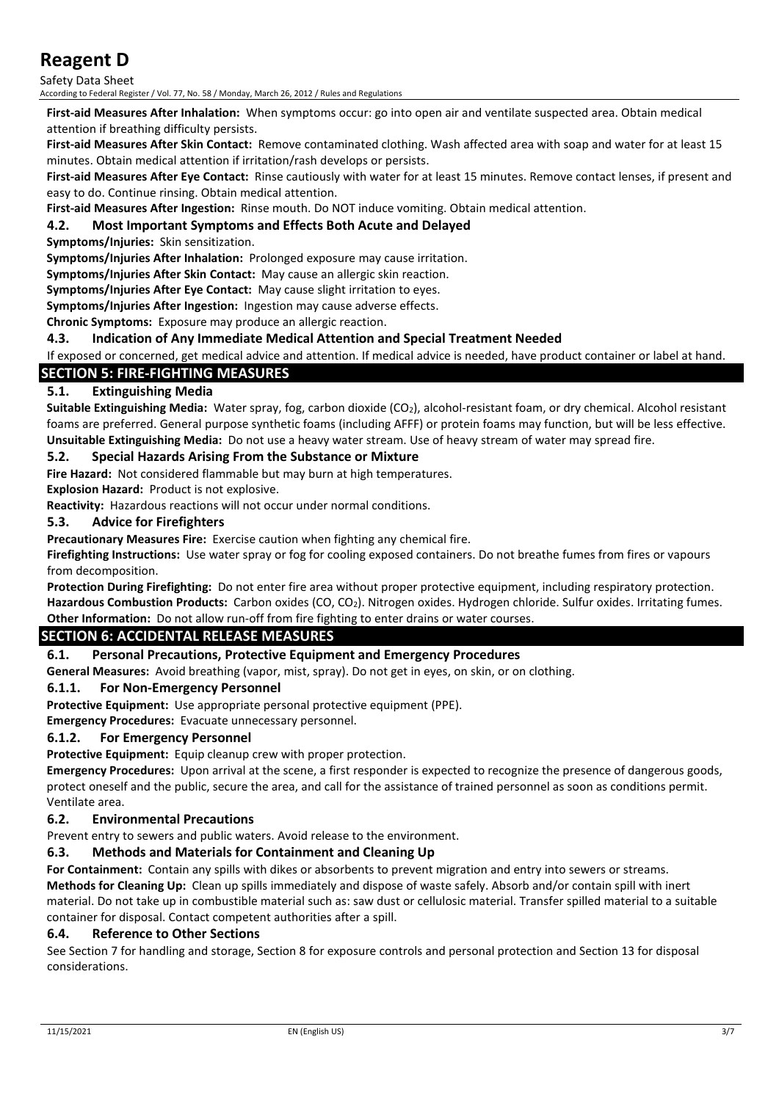Safety Data Sheet

According to Federal Register / Vol. 77, No. 58 / Monday, March 26, 2012 / Rules and Regulations

**First-aid Measures After Inhalation:** When symptoms occur: go into open air and ventilate suspected area. Obtain medical attention if breathing difficulty persists.

**First-aid Measures After Skin Contact:** Remove contaminated clothing. Wash affected area with soap and water for at least 15 minutes. Obtain medical attention if irritation/rash develops or persists.

**First-aid Measures After Eye Contact:** Rinse cautiously with water for at least 15 minutes. Remove contact lenses, if present and easy to do. Continue rinsing. Obtain medical attention.

**First-aid Measures After Ingestion:** Rinse mouth. Do NOT induce vomiting. Obtain medical attention.

#### **4.2. Most Important Symptoms and Effects Both Acute and Delayed**

**Symptoms/Injuries:** Skin sensitization.

**Symptoms/Injuries After Inhalation:** Prolonged exposure may cause irritation.

**Symptoms/Injuries After Skin Contact:** May cause an allergic skin reaction.

**Symptoms/Injuries After Eye Contact:** May cause slight irritation to eyes.

**Symptoms/Injuries After Ingestion:** Ingestion may cause adverse effects.

**Chronic Symptoms:** Exposure may produce an allergic reaction.

#### **4.3. Indication of Any Immediate Medical Attention and Special Treatment Needed**

If exposed or concerned, get medical advice and attention. If medical advice is needed, have product container or label at hand.

## **SECTION 5: FIRE-FIGHTING MEASURES**

## **5.1. Extinguishing Media**

**Suitable Extinguishing Media:** Water spray, fog, carbon dioxide (CO2), alcohol-resistant foam, or dry chemical. Alcohol resistant foams are preferred. General purpose synthetic foams (including AFFF) or protein foams may function, but will be less effective. **Unsuitable Extinguishing Media:** Do not use a heavy water stream. Use of heavy stream of water may spread fire.

#### **5.2. Special Hazards Arising From the Substance or Mixture**

**Fire Hazard:** Not considered flammable but may burn at high temperatures.

**Explosion Hazard:** Product is not explosive.

**Reactivity:** Hazardous reactions will not occur under normal conditions.

#### **5.3. Advice for Firefighters**

**Precautionary Measures Fire:** Exercise caution when fighting any chemical fire.

**Firefighting Instructions:** Use water spray or fog for cooling exposed containers. Do not breathe fumes from fires or vapours from decomposition.

**Protection During Firefighting:** Do not enter fire area without proper protective equipment, including respiratory protection. **Hazardous Combustion Products:** Carbon oxides (CO, CO2). Nitrogen oxides. Hydrogen chloride. Sulfur oxides. Irritating fumes. **Other Information:** Do not allow run-off from fire fighting to enter drains or water courses.

## **SECTION 6: ACCIDENTAL RELEASE MEASURES**

#### **6.1. Personal Precautions, Protective Equipment and Emergency Procedures**

**General Measures:** Avoid breathing (vapor, mist, spray). Do not get in eyes, on skin, or on clothing.

#### **6.1.1. For Non-Emergency Personnel**

**Protective Equipment:** Use appropriate personal protective equipment (PPE).

**Emergency Procedures:** Evacuate unnecessary personnel.

#### **6.1.2. For Emergency Personnel**

**Protective Equipment:** Equip cleanup crew with proper protection.

**Emergency Procedures:** Upon arrival at the scene, a first responder is expected to recognize the presence of dangerous goods, protect oneself and the public, secure the area, and call for the assistance of trained personnel as soon as conditions permit. Ventilate area.

#### **6.2. Environmental Precautions**

Prevent entry to sewers and public waters. Avoid release to the environment.

#### **6.3. Methods and Materials for Containment and Cleaning Up**

**For Containment:** Contain any spills with dikes or absorbents to prevent migration and entry into sewers or streams. **Methods for Cleaning Up:** Clean up spills immediately and dispose of waste safely. Absorb and/or contain spill with inert material. Do not take up in combustible material such as: saw dust or cellulosic material. Transfer spilled material to a suitable container for disposal. Contact competent authorities after a spill.

#### **6.4. Reference to Other Sections**

See Section 7 for handling and storage, Section 8 for exposure controls and personal protection and Section 13 for disposal considerations.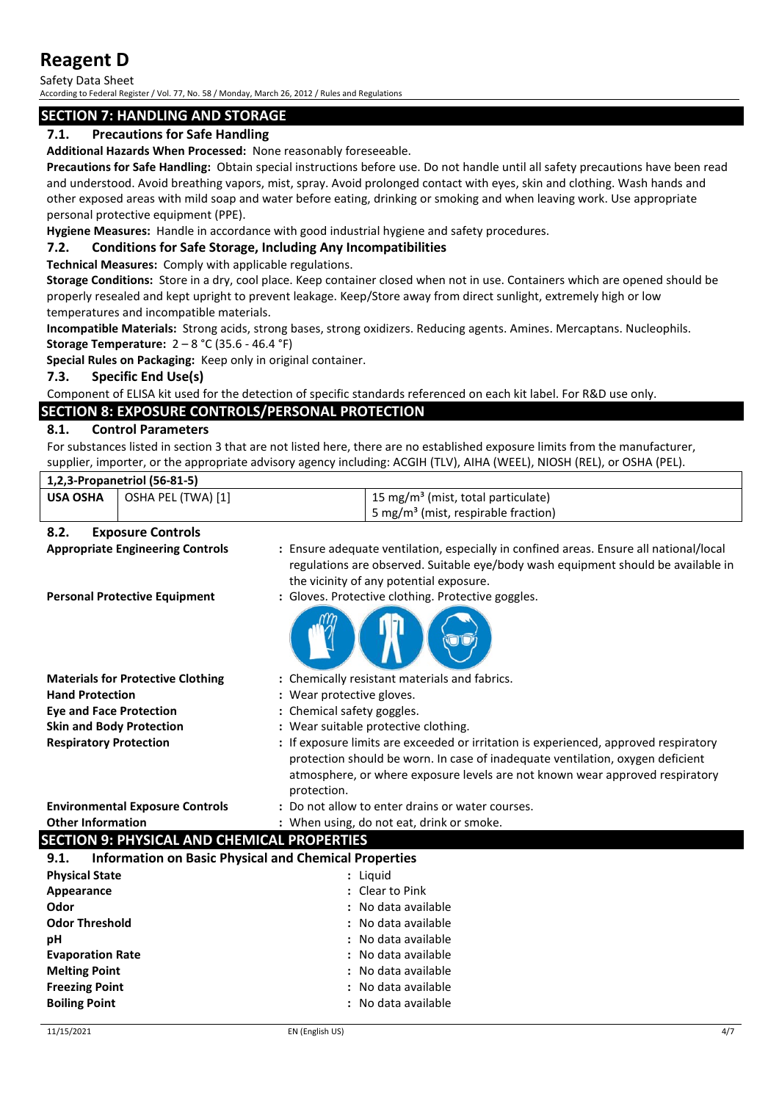Safety Data Sheet According to Federal Register / Vol. 77, No. 58 / Monday, March 26, 2012 / Rules and Regulations

## **SECTION 7: HANDLING AND STORAGE**

## **7.1. Precautions for Safe Handling**

**Additional Hazards When Processed:** None reasonably foreseeable.

**Precautions for Safe Handling:** Obtain special instructions before use. Do not handle until all safety precautions have been read and understood. Avoid breathing vapors, mist, spray. Avoid prolonged contact with eyes, skin and clothing. Wash hands and other exposed areas with mild soap and water before eating, drinking or smoking and when leaving work. Use appropriate personal protective equipment (PPE).

**Hygiene Measures:** Handle in accordance with good industrial hygiene and safety procedures.

## **7.2. Conditions for Safe Storage, Including Any Incompatibilities**

**Technical Measures:** Comply with applicable regulations.

**Storage Conditions:** Store in a dry, cool place. Keep container closed when not in use. Containers which are opened should be properly resealed and kept upright to prevent leakage. Keep/Store away from direct sunlight, extremely high or low temperatures and incompatible materials.

**Incompatible Materials:** Strong acids, strong bases, strong oxidizers. Reducing agents. Amines. Mercaptans. Nucleophils. **Storage Temperature:** 2 – 8 °C (35.6 - 46.4 °F)

**Special Rules on Packaging:** Keep only in original container.

### **7.3. Specific End Use(s)**

Component of ELISA kit used for the detection of specific standards referenced on each kit label. For R&D use only.

## **SECTION 8: EXPOSURE CONTROLS/PERSONAL PROTECTION**

### **8.1. Control Parameters**

For substances listed in section 3 that are not listed here, there are no established exposure limits from the manufacturer, supplier, importer, or the appropriate advisory agency including: ACGIH (TLV), AIHA (WEEL), NIOSH (REL), or OSHA (PEL).

|                                 | 1,2,3-Propanetriol (56-81-5)             |                                                                                                                                                                                                                        |
|---------------------------------|------------------------------------------|------------------------------------------------------------------------------------------------------------------------------------------------------------------------------------------------------------------------|
| <b>USA OSHA</b>                 | OSHA PEL (TWA) [1]                       | 15 mg/m <sup>3</sup> (mist, total particulate)                                                                                                                                                                         |
|                                 |                                          | 5 mg/m <sup>3</sup> (mist, respirable fraction)                                                                                                                                                                        |
| 8.2.                            | <b>Exposure Controls</b>                 |                                                                                                                                                                                                                        |
|                                 | <b>Appropriate Engineering Controls</b>  | : Ensure adequate ventilation, especially in confined areas. Ensure all national/local<br>regulations are observed. Suitable eye/body wash equipment should be available in<br>the vicinity of any potential exposure. |
|                                 | <b>Personal Protective Equipment</b>     | : Gloves. Protective clothing. Protective goggles.                                                                                                                                                                     |
|                                 | <b>Materials for Protective Clothing</b> | : Chemically resistant materials and fabrics.                                                                                                                                                                          |
| <b>Hand Protection</b>          |                                          | : Wear protective gloves.                                                                                                                                                                                              |
| <b>Eye and Face Protection</b>  |                                          | : Chemical safety goggles.                                                                                                                                                                                             |
| <b>Skin and Body Protection</b> |                                          | : Wear suitable protective clothing.                                                                                                                                                                                   |
| <b>Respiratory Protection</b>   |                                          | : If exposure limits are exceeded or irritation is experienced, approved respiratory                                                                                                                                   |

**Other Information :** When using, do not eat, drink or smoke.

#### protection. **Environmental Exposure Controls :** Do not allow to enter drains or water courses.

protection should be worn. In case of inadequate ventilation, oxygen deficient atmosphere, or where exposure levels are not known wear approved respiratory

## **SECTION 9: PHYSICAL AND CHEMICAL PROPERTIES**

| <b>Information on Basic Physical and Chemical Properties</b><br>9.1. |                     |  |
|----------------------------------------------------------------------|---------------------|--|
| <b>Physical State</b>                                                | : Liguid            |  |
| Appearance                                                           | : Clear to Pink     |  |
| Odor                                                                 | : No data available |  |
| <b>Odor Threshold</b>                                                | : No data available |  |
| рH                                                                   | : No data available |  |
| <b>Evaporation Rate</b>                                              | : No data available |  |
| <b>Melting Point</b>                                                 | : No data available |  |
| <b>Freezing Point</b>                                                | : No data available |  |
| <b>Boiling Point</b>                                                 | : No data available |  |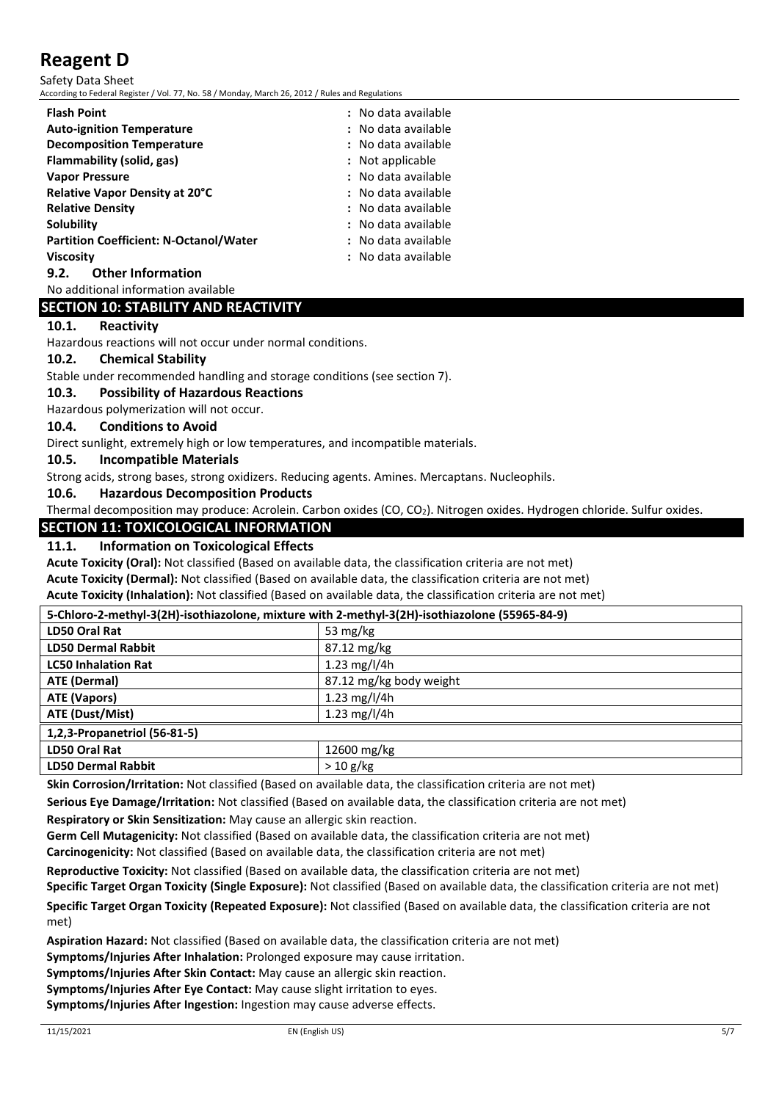Safety Data Sheet

According to Federal Register / Vol. 77, No. 58 / Monday, March 26, 2012 / Rules and Regulations

| <b>Flash Point</b>                            | : No data available |
|-----------------------------------------------|---------------------|
| <b>Auto-ignition Temperature</b>              | : No data available |
| <b>Decomposition Temperature</b>              | : No data available |
| Flammability (solid, gas)                     | : Not applicable    |
| <b>Vapor Pressure</b>                         | : No data available |
| Relative Vapor Density at 20°C                | : No data available |
| <b>Relative Density</b>                       | : No data available |
| Solubility                                    | : No data available |
| <b>Partition Coefficient: N-Octanol/Water</b> | : No data available |
| <b>Viscosity</b>                              | : No data available |
| <b>Other Information</b><br>9.2.              |                     |

No additional information available

## **SECTION 10: STABILITY AND REACTIVITY**

## **10.1. Reactivity**

Hazardous reactions will not occur under normal conditions.

#### **10.2. Chemical Stability**

Stable under recommended handling and storage conditions (see section 7).

#### **10.3. Possibility of Hazardous Reactions**

Hazardous polymerization will not occur.

#### **10.4. Conditions to Avoid**

Direct sunlight, extremely high or low temperatures, and incompatible materials.

#### **10.5. Incompatible Materials**

Strong acids, strong bases, strong oxidizers. Reducing agents. Amines. Mercaptans. Nucleophils.

## **10.6. Hazardous Decomposition Products**

Thermal decomposition may produce: Acrolein. Carbon oxides (CO, CO<sub>2</sub>). Nitrogen oxides. Hydrogen chloride. Sulfur oxides.

## **SECTION 11: TOXICOLOGICAL INFORMATION**

#### **11.1. Information on Toxicological Effects**

**Acute Toxicity (Oral):** Not classified (Based on available data, the classification criteria are not met)

**Acute Toxicity (Dermal):** Not classified (Based on available data, the classification criteria are not met)

**Acute Toxicity (Inhalation):** Not classified (Based on available data, the classification criteria are not met)

#### **5-Chloro-2-methyl-3(2H)-isothiazolone, mixture with 2-methyl-3(2H)-isothiazolone (55965-84-9)**

| $\sim$ empty = meanly et=ii) localitate long mixters and the meanly et=ii) localitate closed on eff |                         |
|-----------------------------------------------------------------------------------------------------|-------------------------|
| <b>LD50 Oral Rat</b>                                                                                | 53 mg/kg                |
| <b>LD50 Dermal Rabbit</b>                                                                           | 87.12 mg/kg             |
| <b>LC50 Inhalation Rat</b>                                                                          | 1.23 mg/l/4h            |
| <b>ATE (Dermal)</b>                                                                                 | 87.12 mg/kg body weight |
| <b>ATE (Vapors)</b>                                                                                 | 1.23 mg/l/4h            |
| ATE (Dust/Mist)                                                                                     | 1.23 mg/l/4h            |
| 1,2,3-Propanetriol (56-81-5)                                                                        |                         |
| <b>LD50 Oral Rat</b>                                                                                | 12600 mg/kg             |
| <b>LD50 Dermal Rabbit</b>                                                                           | >10 g/kg                |

**Skin Corrosion/Irritation:** Not classified (Based on available data, the classification criteria are not met)

**Serious Eye Damage/Irritation:** Not classified (Based on available data, the classification criteria are not met)

**Respiratory or Skin Sensitization:** May cause an allergic skin reaction.

**Germ Cell Mutagenicity:** Not classified (Based on available data, the classification criteria are not met) **Carcinogenicity:** Not classified (Based on available data, the classification criteria are not met)

**Reproductive Toxicity:** Not classified (Based on available data, the classification criteria are not met)

**Specific Target Organ Toxicity (Single Exposure):** Not classified (Based on available data, the classification criteria are not met) **Specific Target Organ Toxicity (Repeated Exposure):** Not classified (Based on available data, the classification criteria are not

met)

**Aspiration Hazard:** Not classified (Based on available data, the classification criteria are not met)

**Symptoms/Injuries After Inhalation:** Prolonged exposure may cause irritation.

**Symptoms/Injuries After Skin Contact:** May cause an allergic skin reaction.

**Symptoms/Injuries After Eye Contact:** May cause slight irritation to eyes.

**Symptoms/Injuries After Ingestion:** Ingestion may cause adverse effects.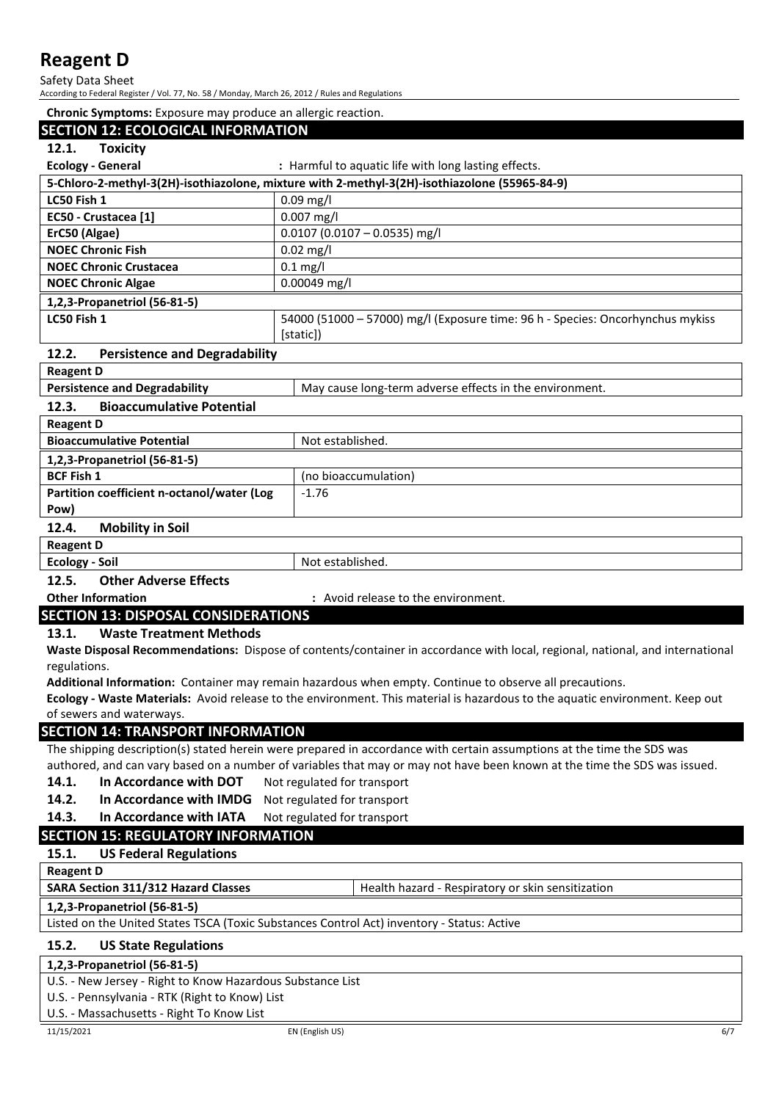Safety Data Sheet

According to Federal Register / Vol. 77, No. 58 / Monday, March 26, 2012 / Rules and Regulations

| Chronic Symptoms: Exposure may produce an allergic reaction. |                                                                                                                               |
|--------------------------------------------------------------|-------------------------------------------------------------------------------------------------------------------------------|
| <b>SECTION 12: ECOLOGICAL INFORMATION</b>                    |                                                                                                                               |
| 12.1.<br><b>Toxicity</b>                                     |                                                                                                                               |
| <b>Ecology - General</b>                                     | : Harmful to aquatic life with long lasting effects.                                                                          |
|                                                              | 5-Chloro-2-methyl-3(2H)-isothiazolone, mixture with 2-methyl-3(2H)-isothiazolone (55965-84-9)                                 |
| LC50 Fish 1                                                  | $0.09$ mg/l                                                                                                                   |
| EC50 - Crustacea [1]                                         | 0.007 mg/l                                                                                                                    |
| ErC50 (Algae)                                                | $0.0107$ (0.0107 - 0.0535) mg/l                                                                                               |
| <b>NOEC Chronic Fish</b>                                     | $0.02$ mg/l                                                                                                                   |
| <b>NOEC Chronic Crustacea</b>                                | $0.1$ mg/l                                                                                                                    |
| <b>NOEC Chronic Algae</b>                                    | 0.00049 mg/l                                                                                                                  |
| 1,2,3-Propanetriol (56-81-5)                                 |                                                                                                                               |
| LC50 Fish 1                                                  | 54000 (51000 - 57000) mg/l (Exposure time: 96 h - Species: Oncorhynchus mykiss<br>[static])                                   |
| 12.2.<br><b>Persistence and Degradability</b>                |                                                                                                                               |
| <b>Reagent D</b>                                             |                                                                                                                               |
| <b>Persistence and Degradability</b>                         | May cause long-term adverse effects in the environment.                                                                       |
| 12.3.<br><b>Bioaccumulative Potential</b>                    |                                                                                                                               |
| <b>Reagent D</b>                                             |                                                                                                                               |
| <b>Bioaccumulative Potential</b>                             | Not established.                                                                                                              |
| 1,2,3-Propanetriol (56-81-5)                                 |                                                                                                                               |
| <b>BCF Fish 1</b>                                            | (no bioaccumulation)                                                                                                          |
| Partition coefficient n-octanol/water (Log<br>Pow)           | $-1.76$                                                                                                                       |
| 12.4.<br><b>Mobility in Soil</b>                             |                                                                                                                               |
| <b>Reagent D</b>                                             |                                                                                                                               |
| <b>Ecology - Soil</b>                                        | Not established.                                                                                                              |
| 12.5.<br><b>Other Adverse Effects</b>                        |                                                                                                                               |
| <b>Other Information</b>                                     | : Avoid release to the environment.                                                                                           |
| <b>SECTION 13: DISPOSAL CONSIDERATIONS</b>                   |                                                                                                                               |
| 13.1.<br><b>Waste Treatment Methods</b>                      |                                                                                                                               |
|                                                              | Waste Disposal Recommendations: Dispose of contents/container in accordance with local, regional, national, and international |
| regulations.                                                 |                                                                                                                               |
|                                                              | Additional Information: Container may remain hazardous when empty. Continue to observe all precautions.                       |
|                                                              | Ecology - Waste Materials: Avoid release to the environment. This material is hazardous to the aquatic environment. Keep out  |
| of sewers and waterways.                                     |                                                                                                                               |
| <b>SECTION 14: TRANSPORT INFORMATION</b>                     |                                                                                                                               |
|                                                              | The shipping description(s) stated herein were prepared in accordance with certain assumptions at the time the SDS was        |
|                                                              | authored, and can vary based on a number of variables that may or may not have been known at the time the SDS was issued.     |
| In Accordance with DOT<br>14.1.                              | Not regulated for transport                                                                                                   |
| 14.2.<br>In Accordance with IMDG                             | Not regulated for transport                                                                                                   |
| In Accordance with IATA<br>14.3.                             | Not regulated for transport                                                                                                   |
| <b>SECTION 15: REGULATORY INFORMATION</b>                    |                                                                                                                               |
| 15.1.<br><b>US Federal Regulations</b>                       |                                                                                                                               |
| <b>Reagent D</b>                                             |                                                                                                                               |
| SARA Section 311/312 Hazard Classes                          | Health hazard - Respiratory or skin sensitization                                                                             |
| 1,2,3-Propanetriol (56-81-5)                                 |                                                                                                                               |
|                                                              | Listed on the United States TSCA (Toxic Substances Control Act) inventory - Status: Active                                    |
| 15.2.<br><b>US State Regulations</b>                         |                                                                                                                               |
| 1,2,3-Propanetriol (56-81-5)                                 |                                                                                                                               |
| U.S. - New Jersey - Right to Know Hazardous Substance List   |                                                                                                                               |
| U.S. - Pennsylvania - RTK (Right to Know) List               |                                                                                                                               |
| U.S. - Massachusetts - Right To Know List                    |                                                                                                                               |